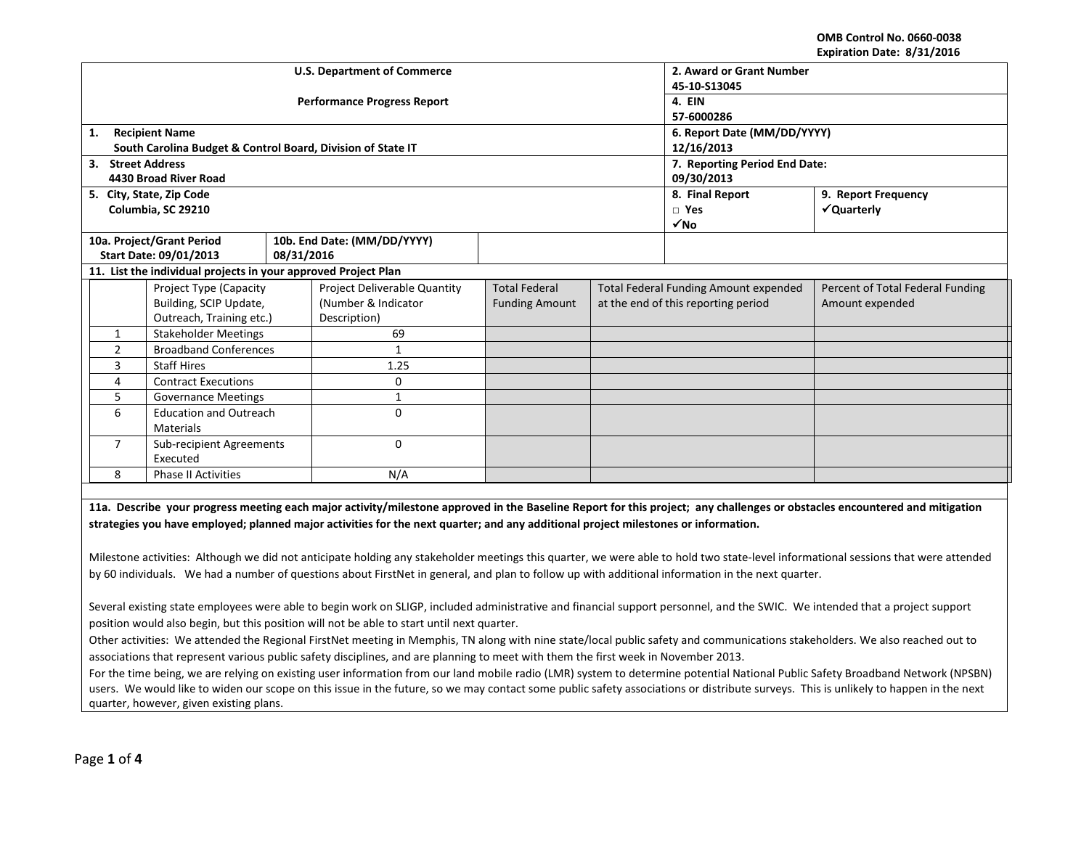**OMB Control No. 0660-0038 Expiration Date: 8/31/2016**

|                             |                                                                |            |                                                                                                                                                   |                       |                                              | LADII GUUN DALC. O/ JI/ LOIU                                                                                                                                                       |
|-----------------------------|----------------------------------------------------------------|------------|---------------------------------------------------------------------------------------------------------------------------------------------------|-----------------------|----------------------------------------------|------------------------------------------------------------------------------------------------------------------------------------------------------------------------------------|
|                             |                                                                |            | <b>U.S. Department of Commerce</b>                                                                                                                |                       | 2. Award or Grant Number                     |                                                                                                                                                                                    |
|                             |                                                                |            |                                                                                                                                                   |                       | 45-10-S13045                                 |                                                                                                                                                                                    |
|                             |                                                                |            | <b>Performance Progress Report</b>                                                                                                                |                       | 4. EIN                                       |                                                                                                                                                                                    |
|                             |                                                                |            |                                                                                                                                                   |                       | 57-6000286                                   |                                                                                                                                                                                    |
| <b>Recipient Name</b><br>1. |                                                                |            |                                                                                                                                                   |                       | 6. Report Date (MM/DD/YYYY)                  |                                                                                                                                                                                    |
|                             | South Carolina Budget & Control Board, Division of State IT    |            |                                                                                                                                                   |                       | 12/16/2013                                   |                                                                                                                                                                                    |
| 3. Street Address           |                                                                |            |                                                                                                                                                   |                       | 7. Reporting Period End Date:                |                                                                                                                                                                                    |
|                             | 4430 Broad River Road                                          |            |                                                                                                                                                   |                       | 09/30/2013                                   |                                                                                                                                                                                    |
| 5. City, State, Zip Code    |                                                                |            |                                                                                                                                                   |                       | 8. Final Report                              | 9. Report Frequency                                                                                                                                                                |
|                             | Columbia, SC 29210                                             |            |                                                                                                                                                   |                       | $\Box$ Yes                                   | √Quarterly                                                                                                                                                                         |
|                             |                                                                |            |                                                                                                                                                   |                       | $\sqrt{NQ}$                                  |                                                                                                                                                                                    |
| 10a. Project/Grant Period   |                                                                |            | 10b. End Date: (MM/DD/YYYY)                                                                                                                       |                       |                                              |                                                                                                                                                                                    |
|                             | Start Date: 09/01/2013                                         | 08/31/2016 |                                                                                                                                                   |                       |                                              |                                                                                                                                                                                    |
|                             | 11. List the individual projects in your approved Project Plan |            |                                                                                                                                                   |                       |                                              |                                                                                                                                                                                    |
|                             | Project Type (Capacity                                         |            | Project Deliverable Quantity                                                                                                                      | <b>Total Federal</b>  | <b>Total Federal Funding Amount expended</b> | Percent of Total Federal Funding                                                                                                                                                   |
|                             | Building, SCIP Update,                                         |            | (Number & Indicator                                                                                                                               | <b>Funding Amount</b> | at the end of this reporting period          | Amount expended                                                                                                                                                                    |
|                             | Outreach, Training etc.)                                       |            | Description)                                                                                                                                      |                       |                                              |                                                                                                                                                                                    |
| $\mathbf{1}$                | <b>Stakeholder Meetings</b>                                    |            | 69                                                                                                                                                |                       |                                              |                                                                                                                                                                                    |
| $\overline{2}$              | <b>Broadband Conferences</b>                                   |            | $\mathbf{1}$                                                                                                                                      |                       |                                              |                                                                                                                                                                                    |
| 3                           | <b>Staff Hires</b>                                             |            | 1.25                                                                                                                                              |                       |                                              |                                                                                                                                                                                    |
| 4                           | <b>Contract Executions</b>                                     |            | 0                                                                                                                                                 |                       |                                              |                                                                                                                                                                                    |
| 5                           | <b>Governance Meetings</b>                                     |            | $\mathbf{1}$                                                                                                                                      |                       |                                              |                                                                                                                                                                                    |
| 6                           | <b>Education and Outreach</b>                                  |            | $\Omega$                                                                                                                                          |                       |                                              |                                                                                                                                                                                    |
|                             | <b>Materials</b>                                               |            |                                                                                                                                                   |                       |                                              |                                                                                                                                                                                    |
| $\overline{7}$              | Sub-recipient Agreements                                       |            | $\Omega$                                                                                                                                          |                       |                                              |                                                                                                                                                                                    |
|                             | Executed                                                       |            |                                                                                                                                                   |                       |                                              |                                                                                                                                                                                    |
| 8                           | <b>Phase II Activities</b>                                     |            | N/A                                                                                                                                               |                       |                                              |                                                                                                                                                                                    |
|                             |                                                                |            |                                                                                                                                                   |                       |                                              |                                                                                                                                                                                    |
|                             |                                                                |            |                                                                                                                                                   |                       |                                              | 11a. Describe your progress meeting each major activity/milestone approved in the Baseline Report for this project; any challenges or obstacles encountered and mitigation         |
|                             |                                                                |            | strategies you have employed; planned major activities for the next quarter; and any additional project milestones or information.                |                       |                                              |                                                                                                                                                                                    |
|                             |                                                                |            |                                                                                                                                                   |                       |                                              |                                                                                                                                                                                    |
|                             |                                                                |            |                                                                                                                                                   |                       |                                              | Milestone activities: Although we did not anticipate holding any stakeholder meetings this quarter, we were able to hold two state-level informational sessions that were attended |
|                             |                                                                |            | by 60 individuals. We had a number of questions about FirstNet in general, and plan to follow up with additional information in the next quarter. |                       |                                              |                                                                                                                                                                                    |

Several existing state employees were able to begin work on SLIGP, included administrative and financial support personnel, and the SWIC. We intended that a project support position would also begin, but this position will not be able to start until next quarter.

Other activities: We attended the Regional FirstNet meeting in Memphis, TN along with nine state/local public safety and communications stakeholders. We also reached out to associations that represent various public safety disciplines, and are planning to meet with them the first week in November 2013.

For the time being, we are relying on existing user information from our land mobile radio (LMR) system to determine potential National Public Safety Broadband Network (NPSBN) users. We would like to widen our scope on this issue in the future, so we may contact some public safety associations or distribute surveys. This is unlikely to happen in the next quarter, however, given existing plans.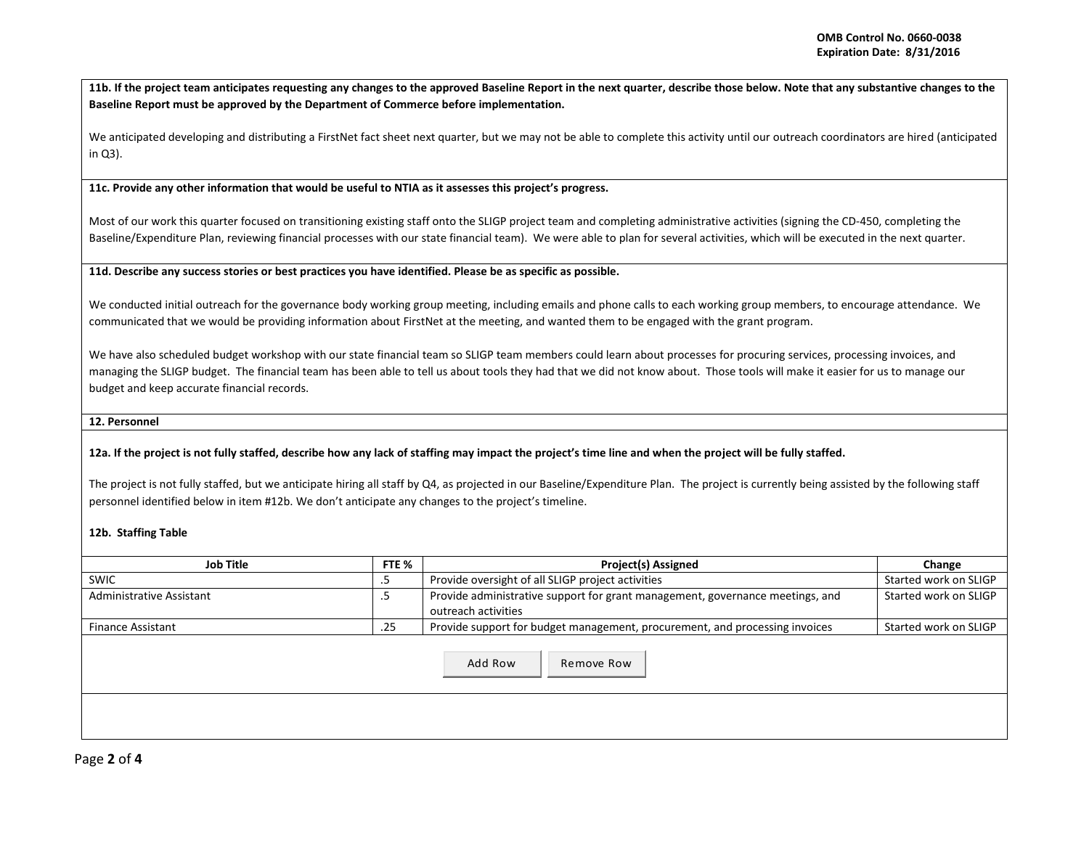**11b. If the project team anticipates requesting any changes to the approved Baseline Report in the next quarter, describe those below. Note that any substantive changes to the Baseline Report must be approved by the Department of Commerce before implementation.** 

We anticipated developing and distributing a FirstNet fact sheet next quarter, but we may not be able to complete this activity until our outreach coordinators are hired (anticipated in Q3).

**11c. Provide any other information that would be useful to NTIA as it assesses this project's progress.** 

Most of our work this quarter focused on transitioning existing staff onto the SLIGP project team and completing administrative activities (signing the CD-450, completing the Baseline/Expenditure Plan, reviewing financial processes with our state financial team). We were able to plan for several activities, which will be executed in the next quarter.

**11d. Describe any success stories or best practices you have identified. Please be as specific as possible.**

We conducted initial outreach for the governance body working group meeting, including emails and phone calls to each working group members, to encourage attendance. We communicated that we would be providing information about FirstNet at the meeting, and wanted them to be engaged with the grant program.

We have also scheduled budget workshop with our state financial team so SLIGP team members could learn about processes for procuring services, processing invoices, and managing the SLIGP budget. The financial team has been able to tell us about tools they had that we did not know about. Those tools will make it easier for us to manage our budget and keep accurate financial records.

## **12. Personnel**

## **12a. If the project is not fully staffed, describe how any lack of staffing may impact the project's time line and when the project will be fully staffed.**

The project is not fully staffed, but we anticipate hiring all staff by Q4, as projected in our Baseline/Expenditure Plan. The project is currently being assisted by the following staff personnel identified below in item #12b. We don't anticipate any changes to the project's timeline.

## **12b. Staffing Table**

| <b>Job Title</b>         | FTE % | <b>Project(s) Assigned</b>                                                                           | Change                |
|--------------------------|-------|------------------------------------------------------------------------------------------------------|-----------------------|
| <b>SWIC</b>              | د.    | Provide oversight of all SLIGP project activities                                                    | Started work on SLIGP |
| Administrative Assistant | د.    | Provide administrative support for grant management, governance meetings, and<br>outreach activities | Started work on SLIGP |
| <b>Finance Assistant</b> | .25   | Provide support for budget management, procurement, and processing invoices                          | Started work on SLIGP |
|                          |       | Add Row<br>Remove Row                                                                                |                       |
|                          |       |                                                                                                      |                       |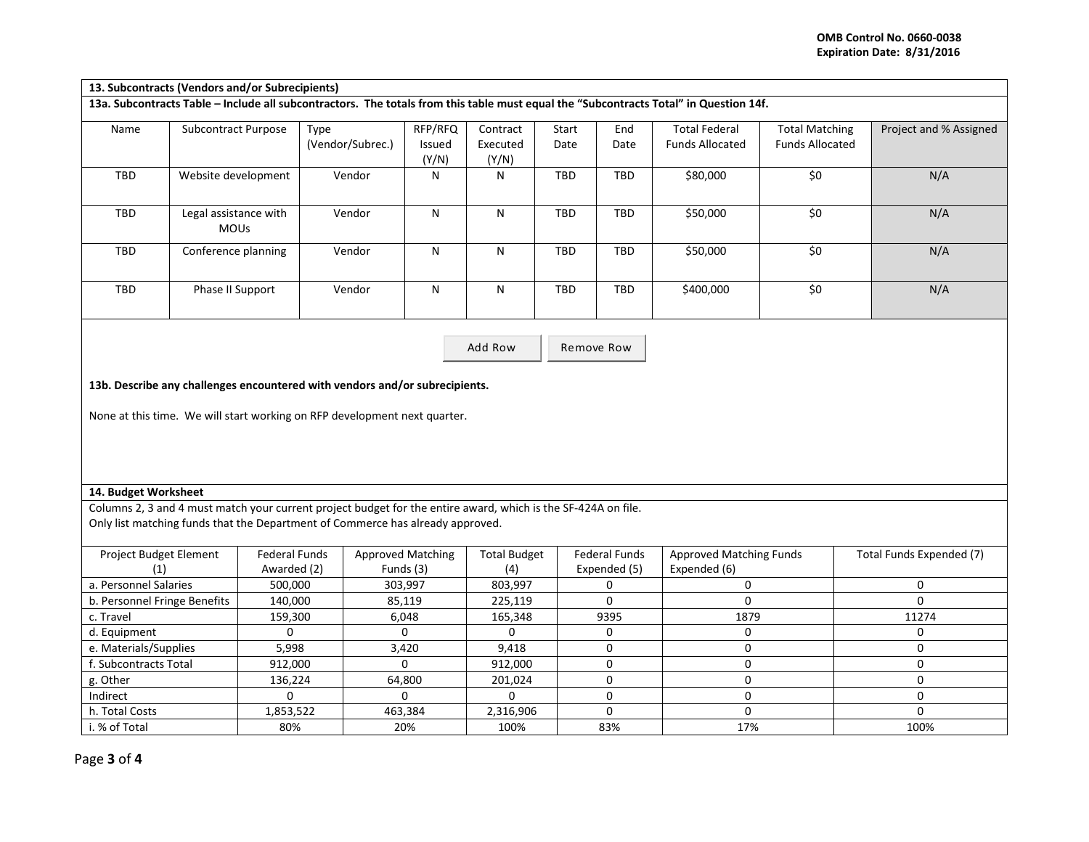|            | 13. Subcontracts (Vendors and/or Subrecipients)                                                                                       |                          |                            |                               |               |             |                                                |                                                 |                        |
|------------|---------------------------------------------------------------------------------------------------------------------------------------|--------------------------|----------------------------|-------------------------------|---------------|-------------|------------------------------------------------|-------------------------------------------------|------------------------|
|            | 13a. Subcontracts Table - Include all subcontractors. The totals from this table must equal the "Subcontracts Total" in Question 14f. |                          |                            |                               |               |             |                                                |                                                 |                        |
| Name       | Subcontract Purpose                                                                                                                   | Type<br>(Vendor/Subrec.) | RFP/RFQ<br>Issued<br>(Y/N) | Contract<br>Executed<br>(Y/N) | Start<br>Date | End<br>Date | <b>Total Federal</b><br><b>Funds Allocated</b> | <b>Total Matching</b><br><b>Funds Allocated</b> | Project and % Assigned |
| TBD        | Website development                                                                                                                   | Vendor                   | N                          | N                             | TBD           | <b>TBD</b>  | \$80,000                                       | \$0                                             | N/A                    |
| TBD        | Legal assistance with<br><b>MOUs</b>                                                                                                  | Vendor                   | N                          | N                             | TBD           | TBD         | \$50,000                                       | \$0                                             | N/A                    |
| TBD        | Conference planning                                                                                                                   | Vendor                   | N                          | N                             | TBD           | <b>TBD</b>  | \$50,000                                       | \$0                                             | N/A                    |
| <b>TBD</b> | Phase II Support                                                                                                                      | Vendor                   | N                          | N                             | TBD           | TBD         | \$400,000                                      | \$0                                             | N/A                    |

Add Row Remove Row

**13b. Describe any challenges encountered with vendors and/or subrecipients.** 

None at this time. We will start working on RFP development next quarter.

## **14. Budget Worksheet**

Columns 2, 3 and 4 must match your current project budget for the entire award, which is the SF-424A on file. Only list matching funds that the Department of Commerce has already approved.

| <b>Project Budget Element</b> | Federal Funds | <b>Approved Matching</b> | <b>Total Budget</b> | <b>Federal Funds</b> | Approved Matching Funds | Total Funds Expended (7) |
|-------------------------------|---------------|--------------------------|---------------------|----------------------|-------------------------|--------------------------|
|                               | Awarded (2)   | Funds (3)                |                     | Expended (5)         | Expended (6)            |                          |
| a. Personnel Salaries         | 500,000       | 303,997                  | 803,997             |                      |                         |                          |
| b. Personnel Fringe Benefits  | 140,000       | 85,119                   | 225,119             |                      |                         |                          |
| c. Travel                     | 159,300       | 6,048                    | 165,348             | 9395                 | 1879                    | 11274                    |
| d. Equipment                  |               |                          |                     |                      |                         |                          |
| e. Materials/Supplies         | 5,998         | 3,420                    | 9,418               |                      |                         |                          |
| f. Subcontracts Total         | 912,000       |                          | 912,000             |                      |                         |                          |
| g. Other                      | 136,224       | 64.800                   | 201,024             |                      |                         |                          |
| Indirect                      |               |                          |                     |                      |                         |                          |
| h. Total Costs                | 1,853,522     | 463,384                  | 2,316,906           |                      |                         |                          |
| i. % of Total                 | 80%           | 20%                      | 100%                | 83%                  | 17%                     | 100%                     |